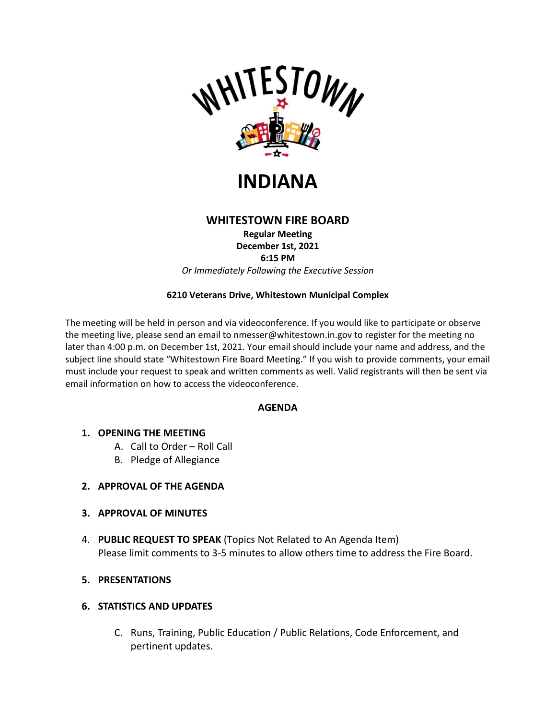



# **WHITESTOWN FIRE BOARD**

**Regular Meeting December 1st, 2021 6:15 PM** *Or Immediately Following the Executive Session*

## **6210 Veterans Drive, Whitestown Municipal Complex**

The meeting will be held in person and via videoconference. If you would like to participate or observe the meeting live, please send an email to nmesser@whitestown.in.gov to register for the meeting no later than 4:00 p.m. on December 1st, 2021. Your email should include your name and address, and the subject line should state "Whitestown Fire Board Meeting." If you wish to provide comments, your email must include your request to speak and written comments as well. Valid registrants will then be sent via email information on how to access the videoconference.

#### **AGENDA**

- **1. OPENING THE MEETING**
	- A. Call to Order Roll Call
	- B. Pledge of Allegiance
- **2. APPROVAL OF THE AGENDA**
- **3. APPROVAL OF MINUTES**
- 4. **PUBLIC REQUEST TO SPEAK** (Topics Not Related to An Agenda Item) Please limit comments to 3-5 minutes to allow others time to address the Fire Board.
- **5. PRESENTATIONS**

### **6. STATISTICS AND UPDATES**

C. Runs, Training, Public Education / Public Relations, Code Enforcement, and pertinent updates.